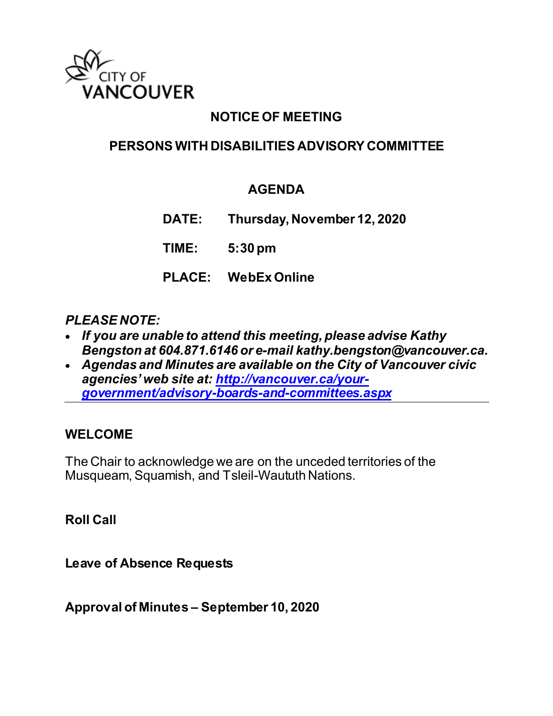

## **NOTICE OF MEETING**

## **PERSONS WITH DISABILITIES ADVISORY COMMITTEE**

## **AGENDA**

**DATE: Thursday, November 12, 2020**

**TIME: 5:30 pm**

**PLACE: WebEx Online**

#### *PLEASE NOTE:*

- *If you are unable to attend this meeting, please advise Kathy Bengston at 604.871.6146 or e-mail kathy.bengston@vancouver.ca.*
- *Agendas and Minutes are available on the City of Vancouver civic agencies' web site at: [http://vancouver.ca/your](http://vancouver.ca/your-government/advisory-boards-and-committees.aspx)[government/advisory-boards-and-committees.aspx](http://vancouver.ca/your-government/advisory-boards-and-committees.aspx)*

#### **WELCOME**

The Chair to acknowledge we are on the unceded territories of the Musqueam, Squamish, and Tsleil-Waututh Nations.

**Roll Call**

**Leave of Absence Requests** 

**Approval of Minutes – September 10, 2020**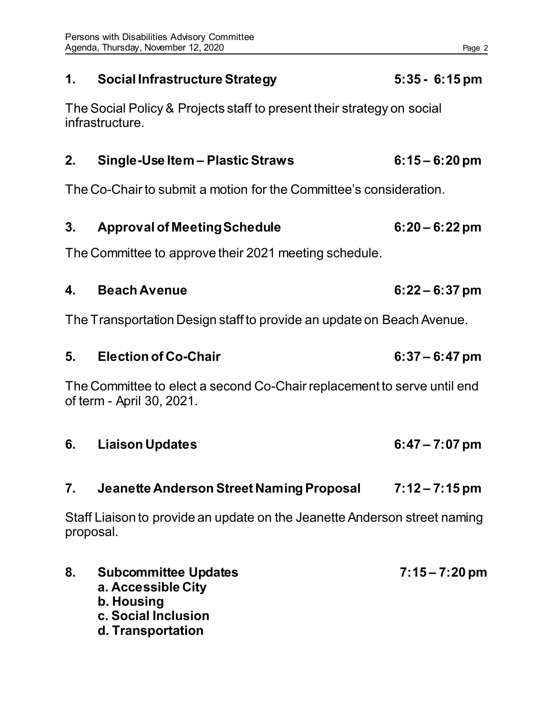## **1. Social Infrastructure Strategy 5:35 - 6:15 pm**

The Social Policy & Projects staff to present their strategy on social infrastructure.

#### **2. Single-Use Item – Plastic Straws 6:15 – 6:20 pm**

The Co-Chair to submit a motion for the Committee's consideration.

## **3. Approval of Meeting Schedule 6:20 – 6:22 pm**

The Committee to approve their 2021 meeting schedule.

## **4. Beach Avenue 6:22 – 6:37 pm**

The Transportation Design staff to provide an update on Beach Avenue.

**5. Election of Co-Chair 6:37 – 6:47 pm**

The Committee to elect a second Co-Chair replacement to serve until end of term - April 30, 2021.

**6. Liaison Updates 6:47 – 7:07 pm**

#### **7. Jeanette Anderson Street Naming Proposal 7:12 – 7:15 pm**

Staff Liaison to provide an update on the Jeanette Anderson street naming proposal.

**8. Subcommittee Updates 7:15 – 7:20 pm a. Accessible City b. Housing c. Social Inclusion d. Transportation**